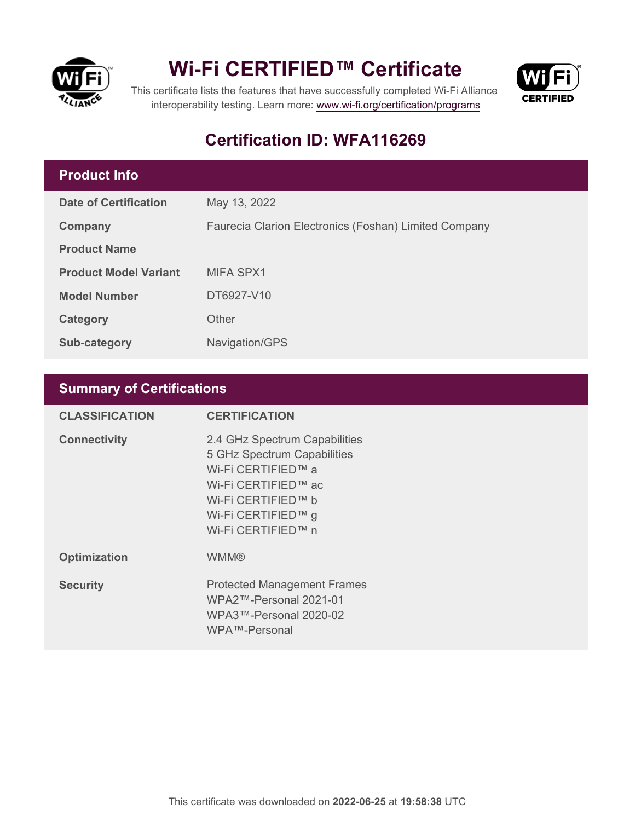

## **Wi-Fi CERTIFIED™ Certificate**



This certificate lists the features that have successfully completed Wi-Fi Alliance interoperability testing. Learn more:<www.wi-fi.org/certification/programs>

## **Certification ID: WFA116269**

### **Product Info**

| <b>Date of Certification</b> | May 13, 2022                                          |
|------------------------------|-------------------------------------------------------|
| Company                      | Faurecia Clarion Electronics (Foshan) Limited Company |
| <b>Product Name</b>          |                                                       |
| <b>Product Model Variant</b> | MIFA SPX1                                             |
| <b>Model Number</b>          | DT6927-V10                                            |
| Category                     | Other                                                 |
| <b>Sub-category</b>          | Navigation/GPS                                        |

### **Summary of Certifications**

| <b>CLASSIFICATION</b> | <b>CERTIFICATION</b>                                                                                                                                                        |
|-----------------------|-----------------------------------------------------------------------------------------------------------------------------------------------------------------------------|
| <b>Connectivity</b>   | 2.4 GHz Spectrum Capabilities<br>5 GHz Spectrum Capabilities<br>Wi-Fi CERTIFIED™ a<br>Wi-Fi CERTIFIED™ ac<br>Wi-Fi CERTIFIED™ b<br>Wi-Fi CERTIFIED™ g<br>Wi-Fi CERTIFIED™ n |
| <b>Optimization</b>   | <b>WMM®</b>                                                                                                                                                                 |
| <b>Security</b>       | <b>Protected Management Frames</b><br>WPA2™-Personal 2021-01<br>WPA3™-Personal 2020-02<br>WPA™-Personal                                                                     |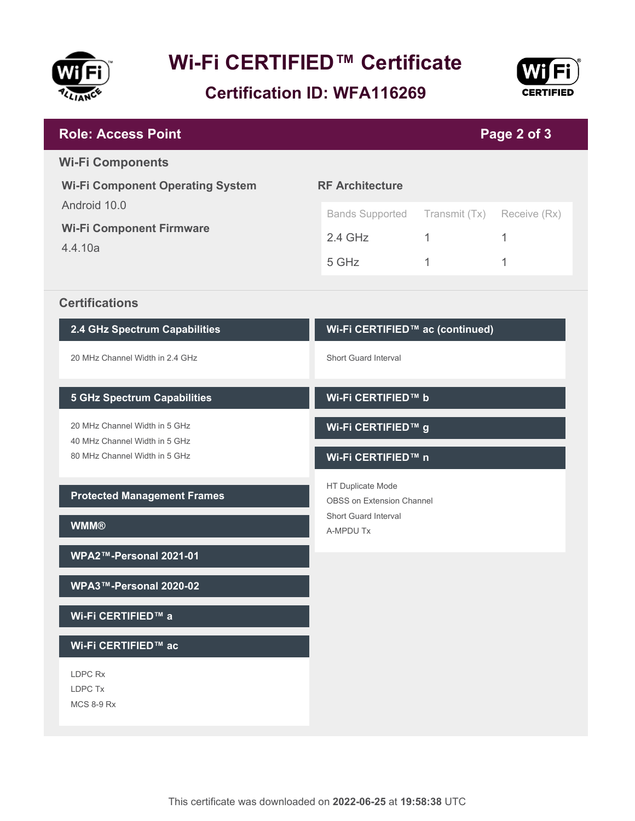

# **Wi-Fi CERTIFIED™ Certificate**

**Certification ID: WFA116269**



| <b>Role: Access Point</b>                                                                       | Page 2 of 3                                                                                       |                         |                        |
|-------------------------------------------------------------------------------------------------|---------------------------------------------------------------------------------------------------|-------------------------|------------------------|
| <b>Wi-Fi Components</b><br><b>Wi-Fi Component Operating System</b>                              | <b>RF Architecture</b>                                                                            |                         |                        |
| Android 10.0<br><b>Wi-Fi Component Firmware</b><br>4.4.10a                                      | <b>Bands Supported</b><br>$2.4$ GHz<br>5 GHz                                                      | Transmit (Tx)<br>1<br>1 | Receive (Rx)<br>1<br>1 |
| <b>Certifications</b>                                                                           |                                                                                                   |                         |                        |
| 2.4 GHz Spectrum Capabilities                                                                   | Wi-Fi CERTIFIED™ ac (continued)                                                                   |                         |                        |
| 20 MHz Channel Width in 2.4 GHz                                                                 | <b>Short Guard Interval</b>                                                                       |                         |                        |
| <b>5 GHz Spectrum Capabilities</b>                                                              | Wi-Fi CERTIFIED™ b                                                                                |                         |                        |
| 20 MHz Channel Width in 5 GHz<br>40 MHz Channel Width in 5 GHz<br>80 MHz Channel Width in 5 GHz | Wi-Fi CERTIFIED™ g<br>Wi-Fi CERTIFIED™ n                                                          |                         |                        |
| <b>Protected Management Frames</b><br><b>WMM®</b>                                               | HT Duplicate Mode<br><b>OBSS on Extension Channel</b><br><b>Short Guard Interval</b><br>A-MPDU Tx |                         |                        |
| WPA2™-Personal 2021-01                                                                          |                                                                                                   |                         |                        |
| WPA3™-Personal 2020-02                                                                          |                                                                                                   |                         |                        |
| Wi-Fi CERTIFIED™ a                                                                              |                                                                                                   |                         |                        |
| Wi-Fi CERTIFIED™ ac                                                                             |                                                                                                   |                         |                        |
| LDPC Rx<br>LDPC Tx<br><b>MCS 8-9 Rx</b>                                                         |                                                                                                   |                         |                        |